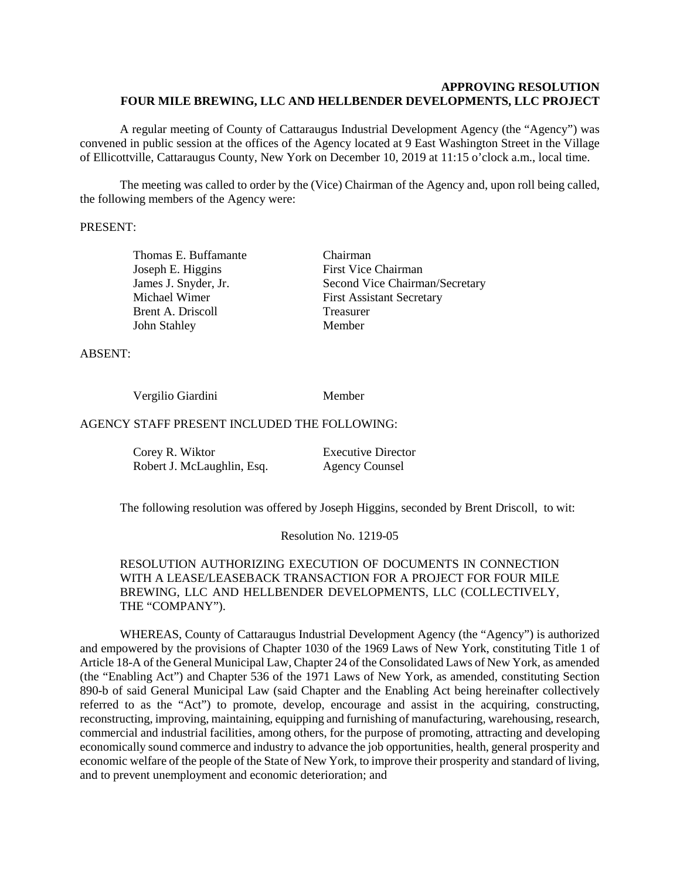#### **APPROVING RESOLUTION FOUR MILE BREWING, LLC AND HELLBENDER DEVELOPMENTS, LLC PROJECT**

A regular meeting of County of Cattaraugus Industrial Development Agency (the "Agency") was convened in public session at the offices of the Agency located at 9 East Washington Street in the Village of Ellicottville, Cattaraugus County, New York on December 10, 2019 at 11:15 o'clock a.m., local time.

The meeting was called to order by the (Vice) Chairman of the Agency and, upon roll being called, the following members of the Agency were:

#### PRESENT:

Thomas E. Buffamante Chairman Joseph E. Higgins First Vice Chairman Brent A. Driscoll Treasurer John Stahley Member

James J. Snyder, Jr. Second Vice Chairman/Secretary Michael Wimer First Assistant Secretary

ABSENT:

Vergilio Giardini Member

#### AGENCY STAFF PRESENT INCLUDED THE FOLLOWING:

| Corey R. Wiktor            | <b>Executive Director</b> |
|----------------------------|---------------------------|
| Robert J. McLaughlin, Esq. | <b>Agency Counsel</b>     |

The following resolution was offered by Joseph Higgins, seconded by Brent Driscoll, to wit:

Resolution No. 1219-05

RESOLUTION AUTHORIZING EXECUTION OF DOCUMENTS IN CONNECTION WITH A LEASE/LEASEBACK TRANSACTION FOR A PROJECT FOR FOUR MILE BREWING, LLC AND HELLBENDER DEVELOPMENTS, LLC (COLLECTIVELY, THE "COMPANY").

WHEREAS, County of Cattaraugus Industrial Development Agency (the "Agency") is authorized and empowered by the provisions of Chapter 1030 of the 1969 Laws of New York, constituting Title 1 of Article 18-A of the General Municipal Law, Chapter 24 of the Consolidated Laws of New York, as amended (the "Enabling Act") and Chapter 536 of the 1971 Laws of New York, as amended, constituting Section 890-b of said General Municipal Law (said Chapter and the Enabling Act being hereinafter collectively referred to as the "Act") to promote, develop, encourage and assist in the acquiring, constructing, reconstructing, improving, maintaining, equipping and furnishing of manufacturing, warehousing, research, commercial and industrial facilities, among others, for the purpose of promoting, attracting and developing economically sound commerce and industry to advance the job opportunities, health, general prosperity and economic welfare of the people of the State of New York, to improve their prosperity and standard of living, and to prevent unemployment and economic deterioration; and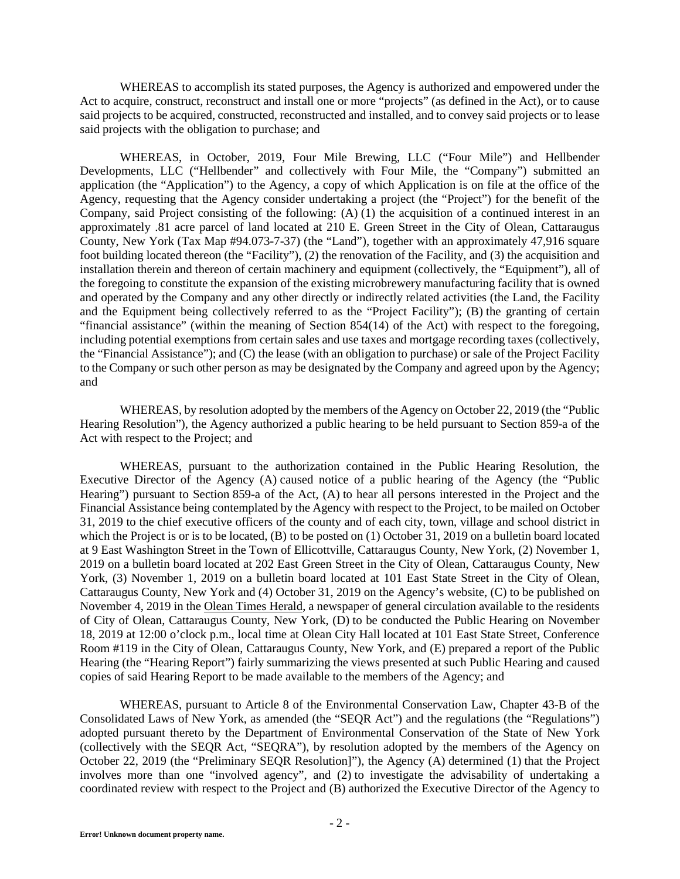WHEREAS to accomplish its stated purposes, the Agency is authorized and empowered under the Act to acquire, construct, reconstruct and install one or more "projects" (as defined in the Act), or to cause said projects to be acquired, constructed, reconstructed and installed, and to convey said projects or to lease said projects with the obligation to purchase; and

WHEREAS, in October, 2019, Four Mile Brewing, LLC ("Four Mile") and Hellbender Developments, LLC ("Hellbender" and collectively with Four Mile, the "Company") submitted an application (the "Application") to the Agency, a copy of which Application is on file at the office of the Agency, requesting that the Agency consider undertaking a project (the "Project") for the benefit of the Company, said Project consisting of the following:  $(A)$  (1) the acquisition of a continued interest in an approximately .81 acre parcel of land located at 210 E. Green Street in the City of Olean, Cattaraugus County, New York (Tax Map #94.073-7-37) (the "Land"), together with an approximately 47,916 square foot building located thereon (the "Facility"), (2) the renovation of the Facility, and (3) the acquisition and installation therein and thereon of certain machinery and equipment (collectively, the "Equipment"), all of the foregoing to constitute the expansion of the existing microbrewery manufacturing facility that is owned and operated by the Company and any other directly or indirectly related activities (the Land, the Facility and the Equipment being collectively referred to as the "Project Facility"); (B) the granting of certain "financial assistance" (within the meaning of Section 854(14) of the Act) with respect to the foregoing, including potential exemptions from certain sales and use taxes and mortgage recording taxes (collectively, the "Financial Assistance"); and (C) the lease (with an obligation to purchase) or sale of the Project Facility to the Company or such other person as may be designated by the Company and agreed upon by the Agency; and

WHEREAS, by resolution adopted by the members of the Agency on October 22, 2019 (the "Public Hearing Resolution"), the Agency authorized a public hearing to be held pursuant to Section 859-a of the Act with respect to the Project; and

WHEREAS, pursuant to the authorization contained in the Public Hearing Resolution, the Executive Director of the Agency (A) caused notice of a public hearing of the Agency (the "Public Hearing") pursuant to Section 859-a of the Act, (A) to hear all persons interested in the Project and the Financial Assistance being contemplated by the Agency with respect to the Project, to be mailed on October 31, 2019 to the chief executive officers of the county and of each city, town, village and school district in which the Project is or is to be located, (B) to be posted on (1) October 31, 2019 on a bulletin board located at 9 East Washington Street in the Town of Ellicottville, Cattaraugus County, New York, (2) November 1, 2019 on a bulletin board located at 202 East Green Street in the City of Olean, Cattaraugus County, New York, (3) November 1, 2019 on a bulletin board located at 101 East State Street in the City of Olean, Cattaraugus County, New York and (4) October 31, 2019 on the Agency's website, (C) to be published on November 4, 2019 in the Olean Times Herald, a newspaper of general circulation available to the residents of City of Olean, Cattaraugus County, New York, (D) to be conducted the Public Hearing on November 18, 2019 at 12:00 o'clock p.m., local time at Olean City Hall located at 101 East State Street, Conference Room #119 in the City of Olean, Cattaraugus County, New York, and (E) prepared a report of the Public Hearing (the "Hearing Report") fairly summarizing the views presented at such Public Hearing and caused copies of said Hearing Report to be made available to the members of the Agency; and

WHEREAS, pursuant to Article 8 of the Environmental Conservation Law, Chapter 43-B of the Consolidated Laws of New York, as amended (the "SEQR Act") and the regulations (the "Regulations") adopted pursuant thereto by the Department of Environmental Conservation of the State of New York (collectively with the SEQR Act, "SEQRA"), by resolution adopted by the members of the Agency on October 22, 2019 (the "Preliminary SEQR Resolution]"), the Agency (A) determined (1) that the Project involves more than one "involved agency", and (2) to investigate the advisability of undertaking a coordinated review with respect to the Project and (B) authorized the Executive Director of the Agency to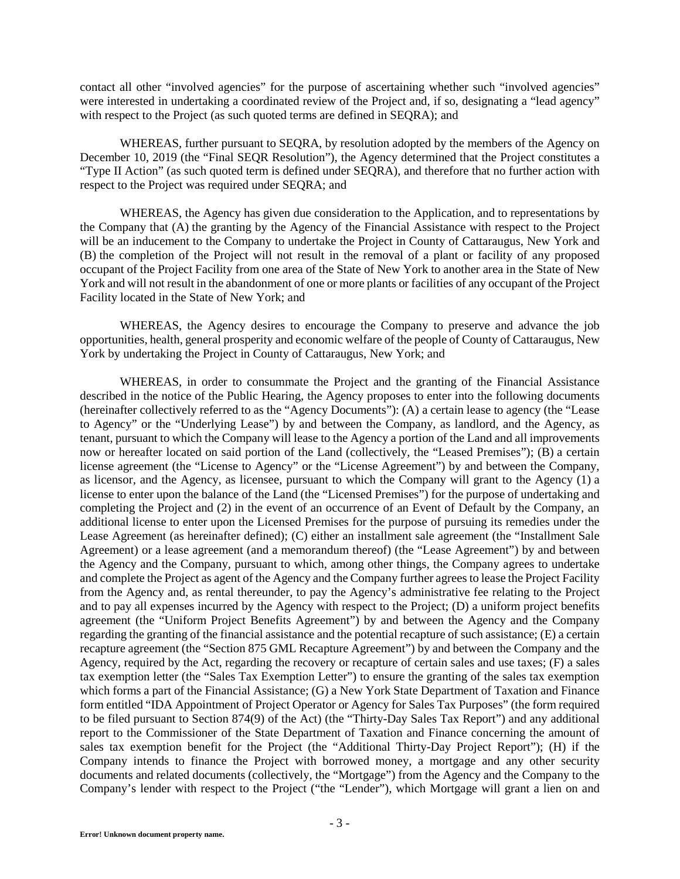contact all other "involved agencies" for the purpose of ascertaining whether such "involved agencies" were interested in undertaking a coordinated review of the Project and, if so, designating a "lead agency" with respect to the Project (as such quoted terms are defined in SEQRA); and

WHEREAS, further pursuant to SEORA, by resolution adopted by the members of the Agency on December 10, 2019 (the "Final SEQR Resolution"), the Agency determined that the Project constitutes a "Type II Action" (as such quoted term is defined under SEQRA), and therefore that no further action with respect to the Project was required under SEQRA; and

WHEREAS, the Agency has given due consideration to the Application, and to representations by the Company that (A) the granting by the Agency of the Financial Assistance with respect to the Project will be an inducement to the Company to undertake the Project in County of Cattaraugus, New York and (B) the completion of the Project will not result in the removal of a plant or facility of any proposed occupant of the Project Facility from one area of the State of New York to another area in the State of New York and will not result in the abandonment of one or more plants or facilities of any occupant of the Project Facility located in the State of New York; and

WHEREAS, the Agency desires to encourage the Company to preserve and advance the job opportunities, health, general prosperity and economic welfare of the people of County of Cattaraugus, New York by undertaking the Project in County of Cattaraugus, New York; and

WHEREAS, in order to consummate the Project and the granting of the Financial Assistance described in the notice of the Public Hearing, the Agency proposes to enter into the following documents (hereinafter collectively referred to as the "Agency Documents"): (A) a certain lease to agency (the "Lease to Agency" or the "Underlying Lease") by and between the Company, as landlord, and the Agency, as tenant, pursuant to which the Company will lease to the Agency a portion of the Land and all improvements now or hereafter located on said portion of the Land (collectively, the "Leased Premises"); (B) a certain license agreement (the "License to Agency" or the "License Agreement") by and between the Company, as licensor, and the Agency, as licensee, pursuant to which the Company will grant to the Agency (1) a license to enter upon the balance of the Land (the "Licensed Premises") for the purpose of undertaking and completing the Project and (2) in the event of an occurrence of an Event of Default by the Company, an additional license to enter upon the Licensed Premises for the purpose of pursuing its remedies under the Lease Agreement (as hereinafter defined); (C) either an installment sale agreement (the "Installment Sale Agreement) or a lease agreement (and a memorandum thereof) (the "Lease Agreement") by and between the Agency and the Company, pursuant to which, among other things, the Company agrees to undertake and complete the Project as agent of the Agency and the Company further agrees to lease the Project Facility from the Agency and, as rental thereunder, to pay the Agency's administrative fee relating to the Project and to pay all expenses incurred by the Agency with respect to the Project; (D) a uniform project benefits agreement (the "Uniform Project Benefits Agreement") by and between the Agency and the Company regarding the granting of the financial assistance and the potential recapture of such assistance; (E) a certain recapture agreement (the "Section 875 GML Recapture Agreement") by and between the Company and the Agency, required by the Act, regarding the recovery or recapture of certain sales and use taxes; (F) a sales tax exemption letter (the "Sales Tax Exemption Letter") to ensure the granting of the sales tax exemption which forms a part of the Financial Assistance; (G) a New York State Department of Taxation and Finance form entitled "IDA Appointment of Project Operator or Agency for Sales Tax Purposes" (the form required to be filed pursuant to Section 874(9) of the Act) (the "Thirty-Day Sales Tax Report") and any additional report to the Commissioner of the State Department of Taxation and Finance concerning the amount of sales tax exemption benefit for the Project (the "Additional Thirty-Day Project Report"); (H) if the Company intends to finance the Project with borrowed money, a mortgage and any other security documents and related documents (collectively, the "Mortgage") from the Agency and the Company to the Company's lender with respect to the Project ("the "Lender"), which Mortgage will grant a lien on and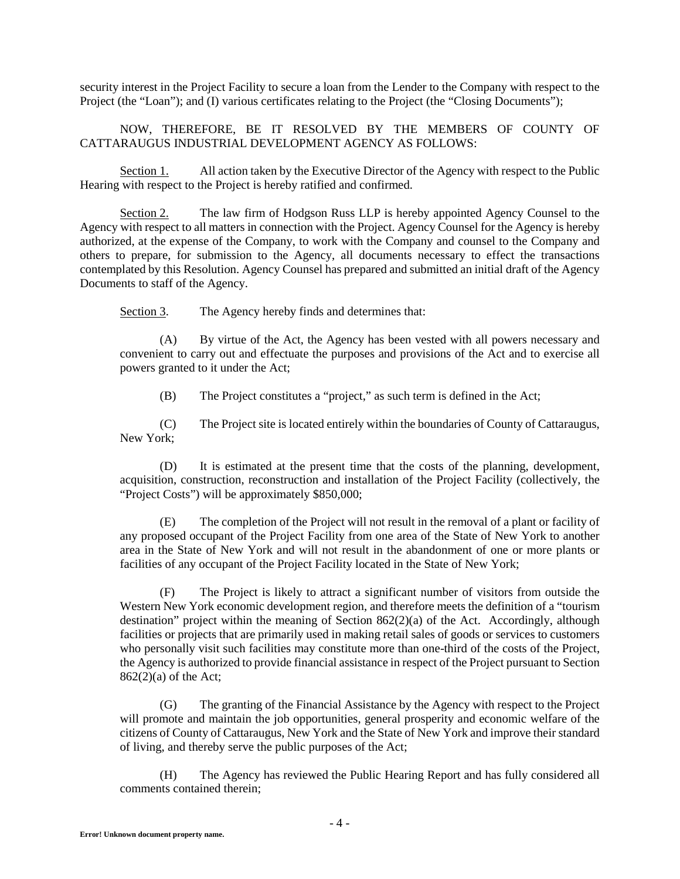security interest in the Project Facility to secure a loan from the Lender to the Company with respect to the Project (the "Loan"); and (I) various certificates relating to the Project (the "Closing Documents");

NOW, THEREFORE, BE IT RESOLVED BY THE MEMBERS OF COUNTY OF CATTARAUGUS INDUSTRIAL DEVELOPMENT AGENCY AS FOLLOWS:

Section 1. All action taken by the Executive Director of the Agency with respect to the Public Hearing with respect to the Project is hereby ratified and confirmed.

Section 2. The law firm of Hodgson Russ LLP is hereby appointed Agency Counsel to the Agency with respect to all matters in connection with the Project. Agency Counsel for the Agency is hereby authorized, at the expense of the Company, to work with the Company and counsel to the Company and others to prepare, for submission to the Agency, all documents necessary to effect the transactions contemplated by this Resolution. Agency Counsel has prepared and submitted an initial draft of the Agency Documents to staff of the Agency.

Section 3. The Agency hereby finds and determines that:

(A) By virtue of the Act, the Agency has been vested with all powers necessary and convenient to carry out and effectuate the purposes and provisions of the Act and to exercise all powers granted to it under the Act;

(B) The Project constitutes a "project," as such term is defined in the Act;

(C) The Project site is located entirely within the boundaries of County of Cattaraugus, New York;

(D) It is estimated at the present time that the costs of the planning, development, acquisition, construction, reconstruction and installation of the Project Facility (collectively, the "Project Costs") will be approximately \$850,000;

(E) The completion of the Project will not result in the removal of a plant or facility of any proposed occupant of the Project Facility from one area of the State of New York to another area in the State of New York and will not result in the abandonment of one or more plants or facilities of any occupant of the Project Facility located in the State of New York;

(F) The Project is likely to attract a significant number of visitors from outside the Western New York economic development region, and therefore meets the definition of a "tourism destination" project within the meaning of Section  $862(2)(a)$  of the Act. Accordingly, although facilities or projects that are primarily used in making retail sales of goods or services to customers who personally visit such facilities may constitute more than one-third of the costs of the Project, the Agency is authorized to provide financial assistance in respect of the Project pursuant to Section 862(2)(a) of the Act;

(G) The granting of the Financial Assistance by the Agency with respect to the Project will promote and maintain the job opportunities, general prosperity and economic welfare of the citizens of County of Cattaraugus, New York and the State of New York and improve their standard of living, and thereby serve the public purposes of the Act;

(H) The Agency has reviewed the Public Hearing Report and has fully considered all comments contained therein;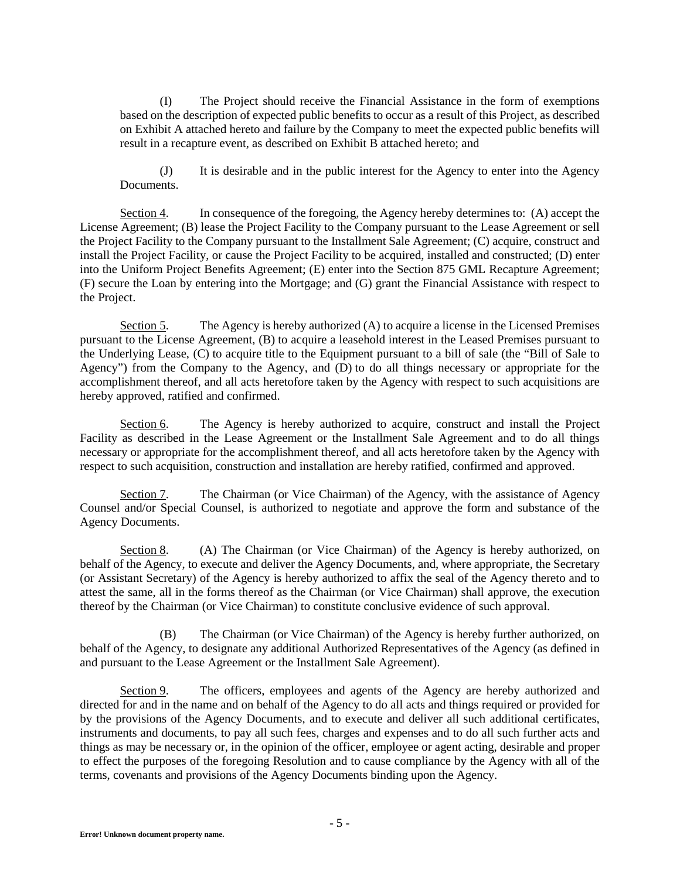(I) The Project should receive the Financial Assistance in the form of exemptions based on the description of expected public benefits to occur as a result of this Project, as described on Exhibit A attached hereto and failure by the Company to meet the expected public benefits will result in a recapture event, as described on Exhibit B attached hereto; and

(J) It is desirable and in the public interest for the Agency to enter into the Agency Documents.

Section 4. In consequence of the foregoing, the Agency hereby determines to: (A) accept the License Agreement; (B) lease the Project Facility to the Company pursuant to the Lease Agreement or sell the Project Facility to the Company pursuant to the Installment Sale Agreement; (C) acquire, construct and install the Project Facility, or cause the Project Facility to be acquired, installed and constructed; (D) enter into the Uniform Project Benefits Agreement; (E) enter into the Section 875 GML Recapture Agreement; (F) secure the Loan by entering into the Mortgage; and (G) grant the Financial Assistance with respect to the Project.

Section 5. The Agency is hereby authorized (A) to acquire a license in the Licensed Premises pursuant to the License Agreement, (B) to acquire a leasehold interest in the Leased Premises pursuant to the Underlying Lease, (C) to acquire title to the Equipment pursuant to a bill of sale (the "Bill of Sale to Agency") from the Company to the Agency, and (D) to do all things necessary or appropriate for the accomplishment thereof, and all acts heretofore taken by the Agency with respect to such acquisitions are hereby approved, ratified and confirmed.

Section 6. The Agency is hereby authorized to acquire, construct and install the Project Facility as described in the Lease Agreement or the Installment Sale Agreement and to do all things necessary or appropriate for the accomplishment thereof, and all acts heretofore taken by the Agency with respect to such acquisition, construction and installation are hereby ratified, confirmed and approved.

Section 7. The Chairman (or Vice Chairman) of the Agency, with the assistance of Agency Counsel and/or Special Counsel, is authorized to negotiate and approve the form and substance of the Agency Documents.

Section 8. (A) The Chairman (or Vice Chairman) of the Agency is hereby authorized, on behalf of the Agency, to execute and deliver the Agency Documents, and, where appropriate, the Secretary (or Assistant Secretary) of the Agency is hereby authorized to affix the seal of the Agency thereto and to attest the same, all in the forms thereof as the Chairman (or Vice Chairman) shall approve, the execution thereof by the Chairman (or Vice Chairman) to constitute conclusive evidence of such approval.

(B) The Chairman (or Vice Chairman) of the Agency is hereby further authorized, on behalf of the Agency, to designate any additional Authorized Representatives of the Agency (as defined in and pursuant to the Lease Agreement or the Installment Sale Agreement).

Section 9. The officers, employees and agents of the Agency are hereby authorized and directed for and in the name and on behalf of the Agency to do all acts and things required or provided for by the provisions of the Agency Documents, and to execute and deliver all such additional certificates, instruments and documents, to pay all such fees, charges and expenses and to do all such further acts and things as may be necessary or, in the opinion of the officer, employee or agent acting, desirable and proper to effect the purposes of the foregoing Resolution and to cause compliance by the Agency with all of the terms, covenants and provisions of the Agency Documents binding upon the Agency.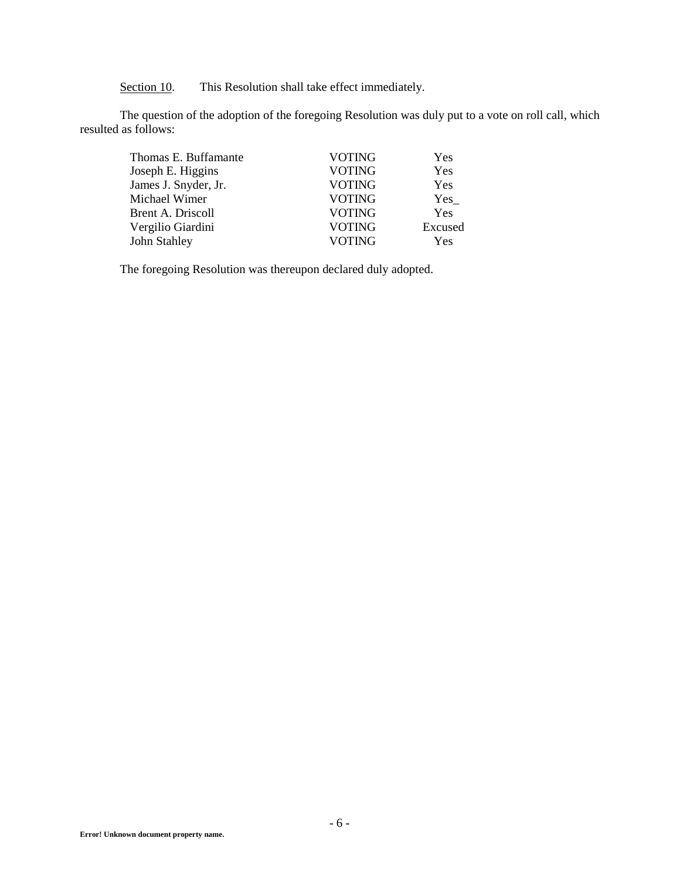Section 10. This Resolution shall take effect immediately.

The question of the adoption of the foregoing Resolution was duly put to a vote on roll call, which resulted as follows:

| Thomas E. Buffamante | <b>VOTING</b> | Yes     |
|----------------------|---------------|---------|
| Joseph E. Higgins    | <b>VOTING</b> | Yes     |
| James J. Snyder, Jr. | <b>VOTING</b> | Yes     |
| Michael Wimer        | <b>VOTING</b> | Yes     |
| Brent A. Driscoll    | <b>VOTING</b> | Yes     |
| Vergilio Giardini    | <b>VOTING</b> | Excused |
| John Stahley         | <b>VOTING</b> | Yes     |

The foregoing Resolution was thereupon declared duly adopted.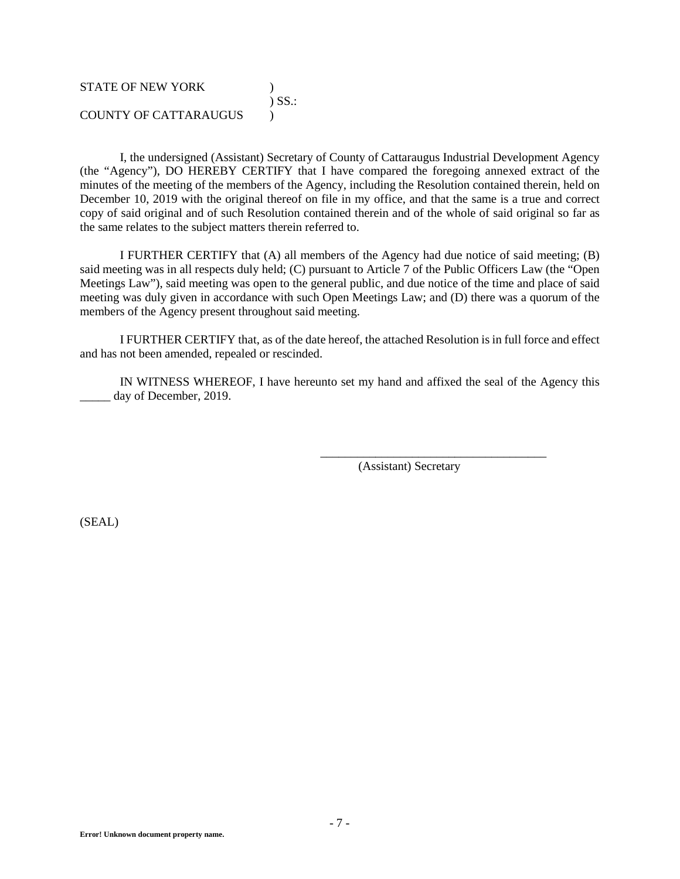## STATE OF NEW YORK (1997) ) SS.: COUNTY OF CATTARAUGUS )

I, the undersigned (Assistant) Secretary of County of Cattaraugus Industrial Development Agency (the "Agency"), DO HEREBY CERTIFY that I have compared the foregoing annexed extract of the minutes of the meeting of the members of the Agency, including the Resolution contained therein, held on December 10, 2019 with the original thereof on file in my office, and that the same is a true and correct copy of said original and of such Resolution contained therein and of the whole of said original so far as the same relates to the subject matters therein referred to.

I FURTHER CERTIFY that (A) all members of the Agency had due notice of said meeting; (B) said meeting was in all respects duly held; (C) pursuant to Article 7 of the Public Officers Law (the "Open Meetings Law"), said meeting was open to the general public, and due notice of the time and place of said meeting was duly given in accordance with such Open Meetings Law; and (D) there was a quorum of the members of the Agency present throughout said meeting.

I FURTHER CERTIFY that, as of the date hereof, the attached Resolution is in full force and effect and has not been amended, repealed or rescinded.

IN WITNESS WHEREOF, I have hereunto set my hand and affixed the seal of the Agency this \_\_\_\_\_ day of December, 2019.

(Assistant) Secretary

\_\_\_\_\_\_\_\_\_\_\_\_\_\_\_\_\_\_\_\_\_\_\_\_\_\_\_\_\_\_\_\_\_\_\_\_\_

(SEAL)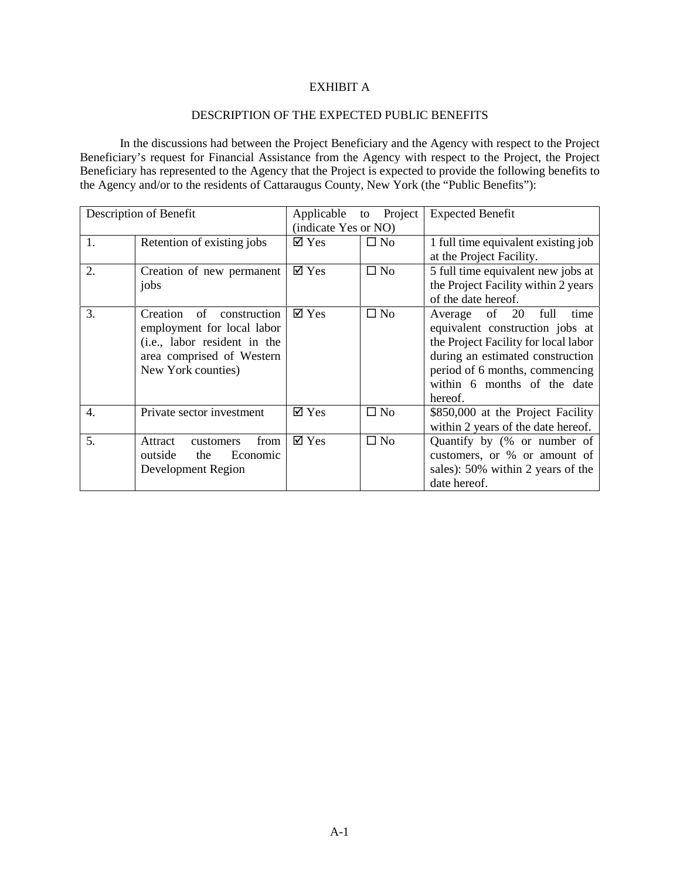## EXHIBIT A

### DESCRIPTION OF THE EXPECTED PUBLIC BENEFITS

In the discussions had between the Project Beneficiary and the Agency with respect to the Project Beneficiary's request for Financial Assistance from the Agency with respect to the Project, the Project Beneficiary has represented to the Agency that the Project is expected to provide the following benefits to the Agency and/or to the residents of Cattaraugus County, New York (the "Public Benefits"):

| Description of Benefit |                                | Applicable                  | Project<br>to | <b>Expected Benefit</b>              |
|------------------------|--------------------------------|-----------------------------|---------------|--------------------------------------|
|                        | (indicate Yes or NO)           |                             |               |                                      |
| 1.                     | Retention of existing jobs     | $\overline{\mathsf{d}}$ Yes | $\Box$ No     | 1 full time equivalent existing job  |
|                        |                                |                             |               | at the Project Facility.             |
| 2.                     | Creation of new permanent      | $\overline{\mathsf{d}}$ Yes | $\square$ No  | 5 full time equivalent new jobs at   |
|                        | jobs                           |                             |               | the Project Facility within 2 years  |
|                        |                                |                             |               | of the date hereof.                  |
| 3.                     | of<br>construction<br>Creation | $\boxtimes$ Yes             | $\square$ No  | of $20$<br>full<br>Average<br>time   |
|                        | employment for local labor     |                             |               | equivalent construction jobs at      |
|                        | (i.e., labor resident in the   |                             |               | the Project Facility for local labor |
|                        | area comprised of Western      |                             |               | during an estimated construction     |
|                        | New York counties)             |                             |               | period of 6 months, commencing       |
|                        |                                |                             |               | within 6 months of the date          |
|                        |                                |                             |               | hereof.                              |
| 4.                     | Private sector investment      | $\overline{\mathsf{d}}$ Yes | $\square$ No  | \$850,000 at the Project Facility    |
|                        |                                |                             |               | within 2 years of the date hereof.   |
| 5.                     | from<br>Attract<br>customers   | $\boxtimes$ Yes             | $\square$ No  | Quantify by (% or number of          |
|                        | outside<br>the<br>Economic     |                             |               | customers, or % or amount of         |
|                        | Development Region             |                             |               | sales): 50% within 2 years of the    |
|                        |                                |                             |               | date hereof.                         |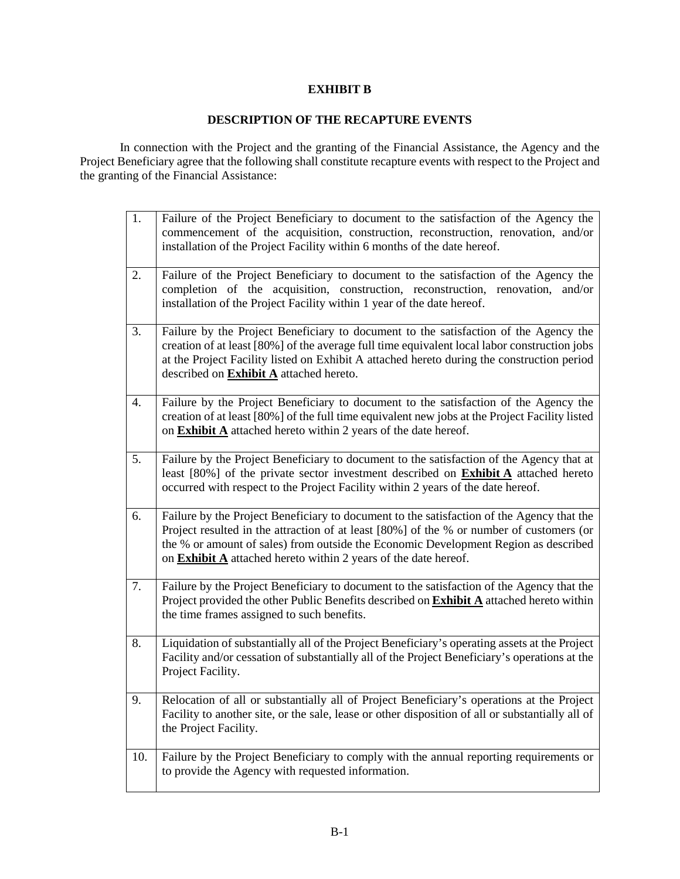## **EXHIBIT B**

# **DESCRIPTION OF THE RECAPTURE EVENTS**

In connection with the Project and the granting of the Financial Assistance, the Agency and the Project Beneficiary agree that the following shall constitute recapture events with respect to the Project and the granting of the Financial Assistance:

| 1.  | Failure of the Project Beneficiary to document to the satisfaction of the Agency the<br>commencement of the acquisition, construction, reconstruction, renovation, and/or<br>installation of the Project Facility within 6 months of the date hereof.                                                                                                  |
|-----|--------------------------------------------------------------------------------------------------------------------------------------------------------------------------------------------------------------------------------------------------------------------------------------------------------------------------------------------------------|
| 2.  | Failure of the Project Beneficiary to document to the satisfaction of the Agency the<br>completion of the acquisition, construction, reconstruction, renovation, and/or<br>installation of the Project Facility within 1 year of the date hereof.                                                                                                      |
| 3.  | Failure by the Project Beneficiary to document to the satisfaction of the Agency the<br>creation of at least [80%] of the average full time equivalent local labor construction jobs<br>at the Project Facility listed on Exhibit A attached hereto during the construction period<br>described on Exhibit A attached hereto.                          |
| 4.  | Failure by the Project Beneficiary to document to the satisfaction of the Agency the<br>creation of at least [80%] of the full time equivalent new jobs at the Project Facility listed<br>on <b>Exhibit A</b> attached hereto within 2 years of the date hereof.                                                                                       |
| 5.  | Failure by the Project Beneficiary to document to the satisfaction of the Agency that at<br>least [80%] of the private sector investment described on <b>Exhibit A</b> attached hereto<br>occurred with respect to the Project Facility within 2 years of the date hereof.                                                                             |
| 6.  | Failure by the Project Beneficiary to document to the satisfaction of the Agency that the<br>Project resulted in the attraction of at least [80%] of the % or number of customers (or<br>the % or amount of sales) from outside the Economic Development Region as described<br>on <b>Exhibit A</b> attached hereto within 2 years of the date hereof. |
| 7.  | Failure by the Project Beneficiary to document to the satisfaction of the Agency that the<br>Project provided the other Public Benefits described on <b>Exhibit A</b> attached hereto within<br>the time frames assigned to such benefits.                                                                                                             |
| 8.  | Liquidation of substantially all of the Project Beneficiary's operating assets at the Project<br>Facility and/or cessation of substantially all of the Project Beneficiary's operations at the<br>Project Facility.                                                                                                                                    |
| 9.  | Relocation of all or substantially all of Project Beneficiary's operations at the Project<br>Facility to another site, or the sale, lease or other disposition of all or substantially all of<br>the Project Facility.                                                                                                                                 |
| 10. | Failure by the Project Beneficiary to comply with the annual reporting requirements or<br>to provide the Agency with requested information.                                                                                                                                                                                                            |